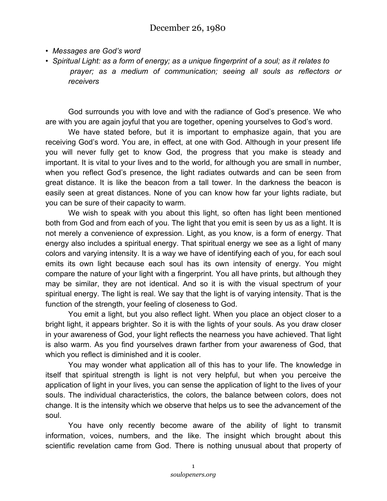## December 26, 1980

- *Messages are God's word*
- *Spiritual Light: as a form of energy; as a unique fingerprint of a soul; as it relates to prayer; as a medium of communication; seeing all souls as reflectors or receivers*

God surrounds you with love and with the radiance of God's presence. We who are with you are again joyful that you are together, opening yourselves to God's word.

We have stated before, but it is important to emphasize again, that you are receiving God's word. You are, in effect, at one with God. Although in your present life you will never fully get to know God, the progress that you make is steady and important. It is vital to your lives and to the world, for although you are small in number, when you reflect God's presence, the light radiates outwards and can be seen from great distance. It is like the beacon from a tall tower. In the darkness the beacon is easily seen at great distances. None of you can know how far your lights radiate, but you can be sure of their capacity to warm.

We wish to speak with you about this light, so often has light been mentioned both from God and from each of you. The light that you emit is seen by us as a light. It is not merely a convenience of expression. Light, as you know, is a form of energy. That energy also includes a spiritual energy. That spiritual energy we see as a light of many colors and varying intensity. It is a way we have of identifying each of you, for each soul emits its own light because each soul has its own intensity of energy. You might compare the nature of your light with a fingerprint. You all have prints, but although they may be similar, they are not identical. And so it is with the visual spectrum of your spiritual energy. The light is real. We say that the light is of varying intensity. That is the function of the strength, your feeling of closeness to God.

You emit a light, but you also reflect light. When you place an object closer to a bright light, it appears brighter. So it is with the lights of your souls. As you draw closer in your awareness of God, your light reflects the nearness you have achieved. That light is also warm. As you find yourselves drawn farther from your awareness of God, that which you reflect is diminished and it is cooler.

You may wonder what application all of this has to your life. The knowledge in itself that spiritual strength is light is not very helpful, but when you perceive the application of light in your lives, you can sense the application of light to the lives of your souls. The individual characteristics, the colors, the balance between colors, does not change. It is the intensity which we observe that helps us to see the advancement of the soul.

You have only recently become aware of the ability of light to transmit information, voices, numbers, and the like. The insight which brought about this scientific revelation came from God. There is nothing unusual about that property of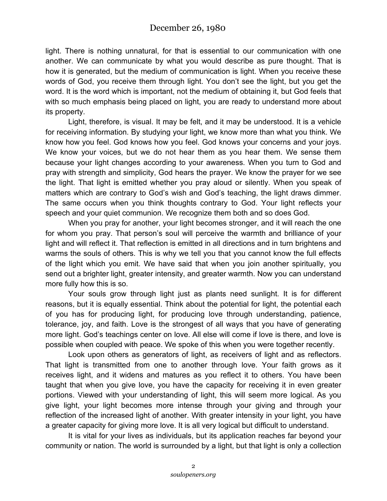## December 26, 1980

light. There is nothing unnatural, for that is essential to our communication with one another. We can communicate by what you would describe as pure thought. That is how it is generated, but the medium of communication is light. When you receive these words of God, you receive them through light. You don't see the light, but you get the word. It is the word which is important, not the medium of obtaining it, but God feels that with so much emphasis being placed on light, you are ready to understand more about its property.

Light, therefore, is visual. It may be felt, and it may be understood. It is a vehicle for receiving information. By studying your light, we know more than what you think. We know how you feel. God knows how you feel. God knows your concerns and your joys. We know your voices, but we do not hear them as you hear them. We sense them because your light changes according to your awareness. When you turn to God and pray with strength and simplicity, God hears the prayer. We know the prayer for we see the light. That light is emitted whether you pray aloud or silently. When you speak of matters which are contrary to God's wish and God's teaching, the light draws dimmer. The same occurs when you think thoughts contrary to God. Your light reflects your speech and your quiet communion. We recognize them both and so does God.

When you pray for another, your light becomes stronger, and it will reach the one for whom you pray. That person's soul will perceive the warmth and brilliance of your light and will reflect it. That reflection is emitted in all directions and in turn brightens and warms the souls of others. This is why we tell you that you cannot know the full effects of the light which you emit. We have said that when you join another spiritually, you send out a brighter light, greater intensity, and greater warmth. Now you can understand more fully how this is so.

Your souls grow through light just as plants need sunlight. It is for different reasons, but it is equally essential. Think about the potential for light, the potential each of you has for producing light, for producing love through understanding, patience, tolerance, joy, and faith. Love is the strongest of all ways that you have of generating more light. God's teachings center on love. All else will come if love is there, and love is possible when coupled with peace. We spoke of this when you were together recently.

Look upon others as generators of light, as receivers of light and as reflectors. That light is transmitted from one to another through love. Your faith grows as it receives light, and it widens and matures as you reflect it to others. You have been taught that when you give love, you have the capacity for receiving it in even greater portions. Viewed with your understanding of light, this will seem more logical. As you give light, your light becomes more intense through your giving and through your reflection of the increased light of another. With greater intensity in your light, you have a greater capacity for giving more love. It is all very logical but difficult to understand.

It is vital for your lives as individuals, but its application reaches far beyond your community or nation. The world is surrounded by a light, but that light is only a collection